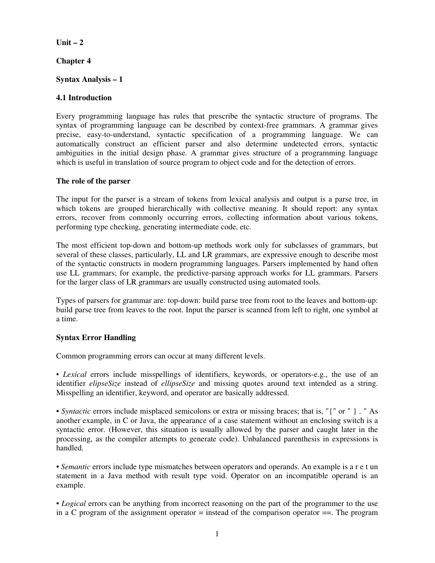# **Unit – 2**

# **Chapter 4**

# **Syntax Analysis – 1**

## **4.1 Introduction**

Every programming language has rules that prescribe the syntactic structure of programs. The syntax of programming language can be described by context-free grammars. A grammar gives precise, easy-to-understand, syntactic specification of a programming language. We can automatically construct an efficient parser and also determine undetected errors, syntactic ambiguities in the initial design phase. A grammar gives structure of a programming language which is useful in translation of source program to object code and for the detection of errors.

### **The role of the parser**

The input for the parser is a stream of tokens from lexical analysis and output is a parse tree, in which tokens are grouped hierarchically with collective meaning. It should report: any syntax errors, recover from commonly occurring errors, collecting information about various tokens, performing type checking, generating intermediate code, etc.

The most efficient top-down and bottom-up methods work only for subclasses of grammars, but several of these classes, particularly, LL and LR grammars, are expressive enough to describe most of the syntactic constructs in modern programming languages. Parsers implemented by hand often use LL grammars; for example, the predictive-parsing approach works for LL grammars. Parsers for the larger class of LR grammars are usually constructed using automated tools.

Types of parsers for grammar are: top-down: build parse tree from root to the leaves and bottom-up: build parse tree from leaves to the root. Input the parser is scanned from left to right, one symbol at a time.

### **Syntax Error Handling**

Common programming errors can occur at many different levels.

• Lexical errors include misspellings of identifiers, keywords, or operators-e.g., the use of an identifier *elipseSize* instead of *ellipseSize* and missing quotes around text intended as a string. Misspelling an identifier, keyword, and operator are basically addressed.

*• Syntactic* errors include misplaced semicolons or extra or missing braces; that is, "{" or " } . " As another example, in C or Java, the appearance of a case statement without an enclosing switch is a syntactic error. (However, this situation is usually allowed by the parser and caught later in the processing, as the compiler attempts to generate code). Unbalanced parenthesis in expressions is handled.

*• Semantic* errors include type mismatches between operators and operands. An example is a r e t un statement in a Java method with result type void. Operator on an incompatible operand is an example.

• *Logical* errors can be anything from incorrect reasoning on the part of the programmer to the use in a C program of the assignment operator  $=$  instead of the comparison operator  $=$ . The program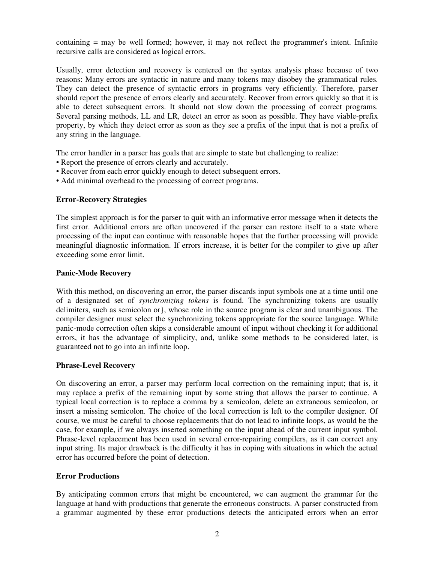containing = may be well formed; however, it may not reflect the programmer's intent. Infinite recursive calls are considered as logical errors.

Usually, error detection and recovery is centered on the syntax analysis phase because of two reasons: Many errors are syntactic in nature and many tokens may disobey the grammatical rules. They can detect the presence of syntactic errors in programs very efficiently. Therefore, parser should report the presence of errors clearly and accurately. Recover from errors quickly so that it is able to detect subsequent errors. It should not slow down the processing of correct programs. Several parsing methods, LL and LR, detect an error as soon as possible. They have viable-prefix property, by which they detect error as soon as they see a prefix of the input that is not a prefix of any string in the language.

The error handler in a parser has goals that are simple to state but challenging to realize:

- Report the presence of errors clearly and accurately.
- Recover from each error quickly enough to detect subsequent errors.
- Add minimal overhead to the processing of correct programs.

### **Error-Recovery Strategies**

The simplest approach is for the parser to quit with an informative error message when it detects the first error. Additional errors are often uncovered if the parser can restore itself to a state where processing of the input can continue with reasonable hopes that the further processing will provide meaningful diagnostic information. If errors increase, it is better for the compiler to give up after exceeding some error limit.

### **Panic-Mode Recovery**

With this method, on discovering an error, the parser discards input symbols one at a time until one of a designated set of *synchronizing tokens* is found. The synchronizing tokens are usually delimiters, such as semicolon or}, whose role in the source program is clear and unambiguous. The compiler designer must select the synchronizing tokens appropriate for the source language. While panic-mode correction often skips a considerable amount of input without checking it for additional errors, it has the advantage of simplicity, and, unlike some methods to be considered later, is guaranteed not to go into an infinite loop.

### **Phrase-Level Recovery**

On discovering an error, a parser may perform local correction on the remaining input; that is, it may replace a prefix of the remaining input by some string that allows the parser to continue. A typical local correction is to replace a comma by a semicolon, delete an extraneous semicolon, or insert a missing semicolon. The choice of the local correction is left to the compiler designer. Of course, we must be careful to choose replacements that do not lead to infinite loops, as would be the case, for example, if we always inserted something on the input ahead of the current input symbol. Phrase-level replacement has been used in several error-repairing compilers, as it can correct any input string. Its major drawback is the difficulty it has in coping with situations in which the actual error has occurred before the point of detection.

### **Error Productions**

By anticipating common errors that might be encountered, we can augment the grammar for the language at hand with productions that generate the erroneous constructs. A parser constructed from a grammar augmented by these error productions detects the anticipated errors when an error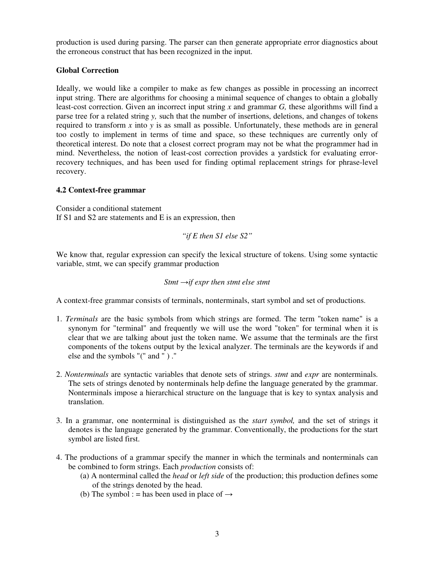production is used during parsing. The parser can then generate appropriate error diagnostics about the erroneous construct that has been recognized in the input.

# **Global Correction**

Ideally, we would like a compiler to make as few changes as possible in processing an incorrect input string. There are algorithms for choosing a minimal sequence of changes to obtain a globally least-cost correction. Given an incorrect input string *x* and grammar *G,* these algorithms will find a parse tree for a related string *y,* such that the number of insertions, deletions, and changes of tokens required to transform *x* into *y* is as small as possible. Unfortunately, these methods are in general too costly to implement in terms of time and space, so these techniques are currently only of theoretical interest. Do note that a closest correct program may not be what the programmer had in mind. Nevertheless, the notion of least-cost correction provides a yardstick for evaluating errorrecovery techniques, and has been used for finding optimal replacement strings for phrase-level recovery.

# **4.2 Context-free grammar**

Consider a conditional statement If S1 and S2 are statements and E is an expression, then

*"if E then S1 else S2"* 

We know that, regular expression can specify the lexical structure of tokens. Using some syntactic variable, stmt, we can specify grammar production

$$
Stmt \rightarrow if expr then \, stmt \, else \, stmt
$$

A context-free grammar consists of terminals, nonterminals, start symbol and set of productions.

- 1. *Terminals* are the basic symbols from which strings are formed. The term "token name" is a synonym for "terminal" and frequently we will use the word "token" for terminal when it is clear that we are talking about just the token name. We assume that the terminals are the first components of the tokens output by the lexical analyzer. The terminals are the keywords if and else and the symbols "(" and " ) ."
- 2. *Nonterminals* are syntactic variables that denote sets of strings. *stmt* and *expr* are nonterminals. The sets of strings denoted by nonterminals help define the language generated by the grammar. Nonterminals impose a hierarchical structure on the language that is key to syntax analysis and translation.
- 3. In a grammar, one nonterminal is distinguished as the *start symbol,* and the set of strings it denotes is the language generated by the grammar. Conventionally, the productions for the start symbol are listed first.
- 4. The productions of a grammar specify the manner in which the terminals and nonterminals can be combined to form strings. Each *production* consists of:
	- (a) A nonterminal called the *head* or *left side* of the production; this production defines some of the strings denoted by the head.
	- (b) The symbol : = has been used in place of  $\rightarrow$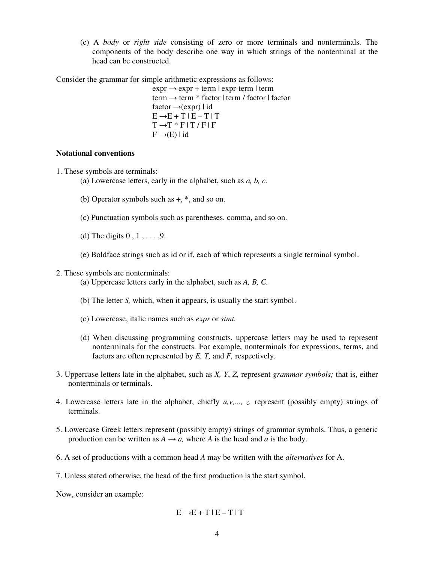(c) A *body* or *right side* consisting of zero or more terminals and nonterminals. The components of the body describe one way in which strings of the nonterminal at the head can be constructed.

Consider the grammar for simple arithmetic expressions as follows:

 $\exp r \rightarrow \exp r + \ker m \mid \exp r - \ker m \mid \ker m$ term → term \* factor | term / factor | factor factor →(expr) | id  $E \rightarrow E + T | E - T | T$  $T \rightarrow T * F T / F F$  $F \rightarrow (E) | id$ 

#### **Notational conventions**

- 1. These symbols are terminals:
	- (a) Lowercase letters, early in the alphabet, such as *a, b, c.*
	- (b) Operator symbols such as +, \*, and so on.
	- (c) Punctuation symbols such as parentheses, comma, and so on.
	- (d) The digits  $0, 1, \ldots, 9$ .
	- (e) Boldface strings such as id or if, each of which represents a single terminal symbol.
- 2. These symbols are nonterminals:
	- (a) Uppercase letters early in the alphabet, such as *A, B, C.*
	- (b) The letter *S,* which, when it appears, is usually the start symbol.
	- (c) Lowercase, italic names such as *expr* or *stmt.*
	- (d) When discussing programming constructs, uppercase letters may be used to represent nonterminals for the constructs. For example, nonterminals for expressions, terms, and factors are often represented by *E, T,* and *F,* respectively.
- 3. Uppercase letters late in the alphabet, such as *X, Y*, *Z,* represent *grammar symbols;* that is, either nonterminals or terminals.
- 4. Lowercase letters late in the alphabet, chiefly  $u, v, \ldots, z$ , represent (possibly empty) strings of terminals.
- 5. Lowercase Greek letters represent (possibly empty) strings of grammar symbols. Thus, a generic production can be written as  $A \rightarrow a$ , where *A* is the head and *a* is the body.
- 6. A set of productions with a common head *A* may be written with the *alternatives* for A.
- 7. Unless stated otherwise, the head of the first production is the start symbol.

Now, consider an example:

$$
E \rightarrow E + T | E - T | T
$$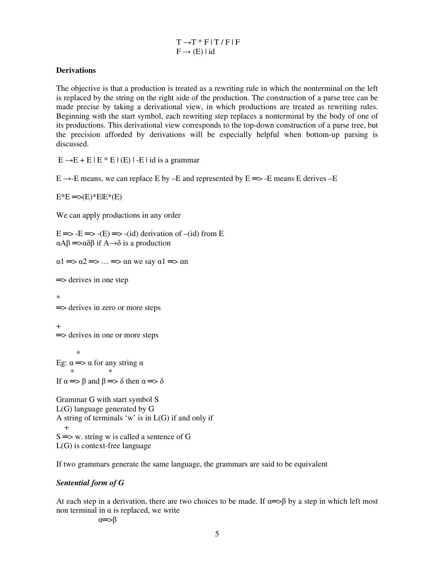$T \rightarrow T * F$  |  $T / F$  | F  $F \rightarrow (E) | id$ 

### **Derivations**

The objective is that a production is treated as a rewriting rule in which the nonterminal on the left is replaced by the string on the right side of the production. The construction of a parse tree can be made precise by taking a derivational view, in which productions are treated as rewriting rules. Beginning with the start symbol, each rewriting step replaces a nonterminal by the body of one of its productions. This derivational view corresponds to the top-down construction of a parse tree, but the precision afforded by derivations will be especially helpful when bottom-up parsing is discussed.

 $E \rightarrow E + E |E * E | (E) | - E | id$  is a grammar

 $E \rightarrow E$  means, we can replace E by –E and represented by  $E \rightarrow E$  means E derives –E

 $E^*E \equiv E(E)^*E|E^*(E)$ 

We can apply productions in any order

 $E \implies -E \implies -(E) \implies -(id)$  derivation of  $-(id)$  from E αAβ ═>αδβ if A→δ is a production

 $\alpha$ 1  $\Rightarrow$   $\alpha$ 2  $\Rightarrow$  ...  $\Rightarrow$   $\alpha$ n we say  $\alpha$ 1  $\Rightarrow$   $\alpha$ n

 $\Rightarrow$  derives in one step

\*  $\Rightarrow$  derives in zero or more steps

+  $\Rightarrow$  derives in one or more steps

 $*$ Eg:  $\alpha \Longrightarrow \alpha$  for any string  $\alpha$  \* \* If  $\alpha \implies \beta$  and  $\beta \implies \delta$  then  $\alpha \implies \delta$ 

Grammar G with start symbol S L(G) language generated by G A string of terminals 'w' is in L(G) if and only if  $+$  $S \implies w$ . string w is called a sentence of G L(G) is context-free language

If two grammars generate the same language, the grammars are said to be equivalent

### *Sentential form of G*

At each step in a derivation, there are two choices to be made. If  $\alpha \Rightarrow \beta$  by a step in which left most non terminal in  $α$  is replaced, we write

α═>β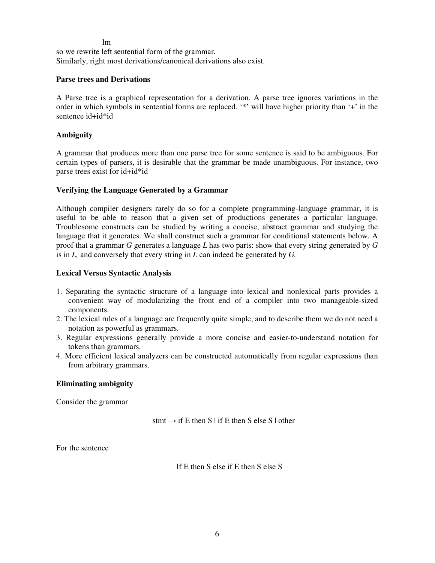#### lm

so we rewrite left sentential form of the grammar. Similarly, right most derivations/canonical derivations also exist.

### **Parse trees and Derivations**

A Parse tree is a graphical representation for a derivation. A parse tree ignores variations in the order in which symbols in sentential forms are replaced. '\*' will have higher priority than '+' in the sentence id+id\*id

### **Ambiguity**

A grammar that produces more than one parse tree for some sentence is said to be ambiguous. For certain types of parsers, it is desirable that the grammar be made unambiguous. For instance, two parse trees exist for id+id\*id

### **Verifying the Language Generated by a Grammar**

Although compiler designers rarely do so for a complete programming-language grammar, it is useful to be able to reason that a given set of productions generates a particular language. Troublesome constructs can be studied by writing a concise, abstract grammar and studying the language that it generates. We shall construct such a grammar for conditional statements below. A proof that a grammar *G* generates a language *L* has two parts: show that every string generated by *G*  is in *L,* and conversely that every string in *L* can indeed be generated by *G.* 

### **Lexical Versus Syntactic Analysis**

- 1. Separating the syntactic structure of a language into lexical and nonlexical parts provides a convenient way of modularizing the front end of a compiler into two manageable-sized components.
- 2. The lexical rules of a language are frequently quite simple, and to describe them we do not need a notation as powerful as grammars.
- 3. Regular expressions generally provide a more concise and easier-to-understand notation for tokens than grammars.
- 4. More efficient lexical analyzers can be constructed automatically from regular expressions than from arbitrary grammars.

### **Eliminating ambiguity**

Consider the grammar

 $s$ tmt  $\rightarrow$  if E then S | if E then S else S | other

For the sentence

If E then S else if E then S else S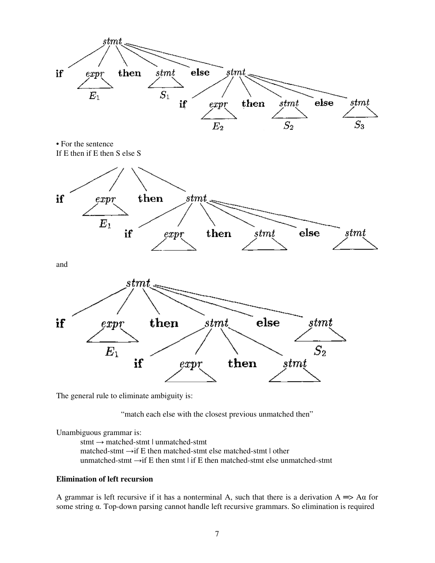

The general rule to eliminate ambiguity is:

"match each else with the closest previous unmatched then"

Unambiguous grammar is:

stmt → matched-stmt | unmatched-stmt matched-stmt  $\rightarrow$ if E then matched-stmt else matched-stmt | other unmatched-stmt  $\rightarrow$ if E then stmt | if E then matched-stmt else unmatched-stmt

### **Elimination of left recursion**

A grammar is left recursive if it has a nonterminal A, such that there is a derivation  $A \Rightarrow \text{A}\alpha$  for some string α. Top-down parsing cannot handle left recursive grammars. So elimination is required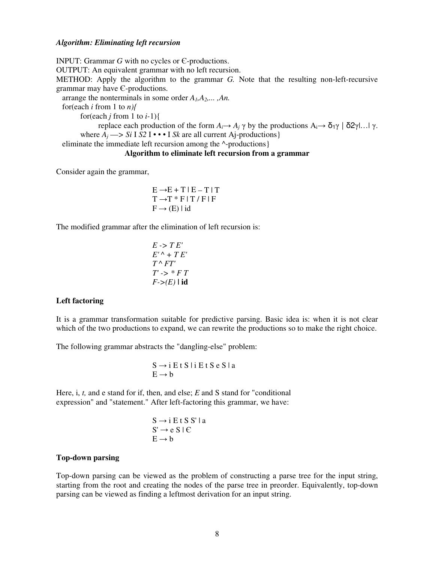#### *Algorithm: Eliminating left recursion*

INPUT: Grammar *G* with no cycles or Є-productions. OUTPUT: An equivalent grammar with no left recursion. METHOD: Apply the algorithm to the grammar *G.* Note that the resulting non-left-recursive grammar may have Є-productions. arrange the nonterminals in some order *A1,A2,... ,An.*  for(each *i* from 1 to *n){*  for(each *j* from 1 to *i-*1){ replace each production of the form  $A_i \rightarrow A_j \gamma$  by the productions  $A_i \rightarrow \delta_1 \gamma \mid \delta_2 \gamma \mid ... \mid \gamma$ . where  $A_j \longrightarrow S_i$  I *S2* **I** • • **I** *Sk* are all current Aj-productions} eliminate the immediate left recursion among the ^-productions}

**Algorithm to eliminate left recursion from a grammar** 

Consider again the grammar,

$$
E \rightarrow E + T | E - T | T
$$

$$
T \rightarrow T * F | T / F | F
$$

$$
F \rightarrow (E) | id
$$

The modified grammar after the elimination of left recursion is:

$$
E \rightarrow TE'
$$
  
\n
$$
E' \rightarrow TE'
$$
  
\n
$$
T \rightarrow FT'
$$
  
\n
$$
T' \rightarrow * FT
$$
  
\n
$$
F \rightarrow (E) | id
$$

### **Left factoring**

It is a grammar transformation suitable for predictive parsing. Basic idea is: when it is not clear which of the two productions to expand, we can rewrite the productions so to make the right choice.

The following grammar abstracts the "dangling-else" problem:

$$
S \rightarrow i \,E \,t \,S \,i \,E \,t \,S \,e \,S \,l \,a
$$

$$
E \rightarrow b
$$

Here, i, *t,* and e stand for if, then, and else; *E* and S stand for "conditional expression" and "statement." After left-factoring this grammar, we have:

$$
S \rightarrow i E t S S' | a S' \rightarrow e S | C E \rightarrow b
$$

#### **Top-down parsing**

Top-down parsing can be viewed as the problem of constructing a parse tree for the input string, starting from the root and creating the nodes of the parse tree in preorder. Equivalently, top-down parsing can be viewed as finding a leftmost derivation for an input string.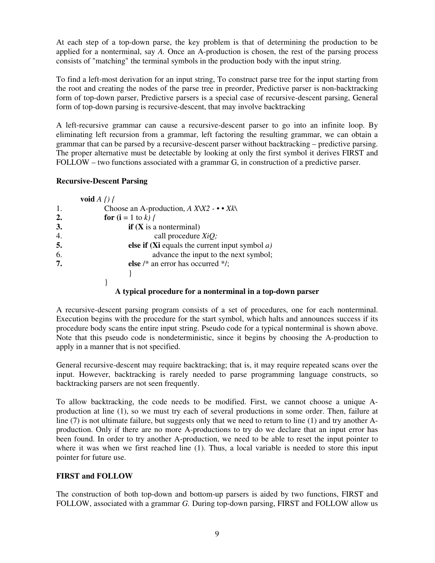At each step of a top-down parse, the key problem is that of determining the production to be applied for a nonterminal, say *A.* Once an A-production is chosen, the rest of the parsing process consists of "matching" the terminal symbols in the production body with the input string.

To find a left-most derivation for an input string, To construct parse tree for the input starting from the root and creating the nodes of the parse tree in preorder, Predictive parser is non-backtracking form of top-down parser, Predictive parsers is a special case of recursive-descent parsing, General form of top-down parsing is recursive-descent, that may involve backtracking

A left-recursive grammar can cause a recursive-descent parser to go into an infinite loop. By eliminating left recursion from a grammar, left factoring the resulting grammar, we can obtain a grammar that can be parsed by a recursive-descent parser without backtracking – predictive parsing. The proper alternative must be detectable by looking at only the first symbol it derives FIRST and FOLLOW – two functions associated with a grammar G, in construction of a predictive parser.

### **Recursive-Descent Parsing**

|    | void $A \nvert / \nvert$                               |
|----|--------------------------------------------------------|
| 1. | Choose an A-production, $A$ XX2 - $\bullet \bullet$ Xk |
| 2. | <b>for</b> $(i = 1$ to k) {                            |
| 3. | if $(X$ is a nonterminal)                              |
| 4. | call procedure $XiQ$ ;                                 |
| 5. | else if (Xi equals the current input symbol $a$ )      |
| 6. | advance the input to the next symbol;                  |
| 7. | else /* an error has occurred */;                      |
|    |                                                        |
|    |                                                        |

# **A typical procedure for a nonterminal in a top-down parser**

A recursive-descent parsing program consists of a set of procedures, one for each nonterminal. Execution begins with the procedure for the start symbol, which halts and announces success if its procedure body scans the entire input string. Pseudo code for a typical nonterminal is shown above. Note that this pseudo code is nondeterministic, since it begins by choosing the A-production to apply in a manner that is not specified.

General recursive-descent may require backtracking; that is, it may require repeated scans over the input. However, backtracking is rarely needed to parse programming language constructs, so backtracking parsers are not seen frequently.

To allow backtracking, the code needs to be modified. First, we cannot choose a unique Aproduction at line (1), so we must try each of several productions in some order. Then, failure at line (7) is not ultimate failure, but suggests only that we need to return to line (1) and try another Aproduction. Only if there are no more A-productions to try do we declare that an input error has been found. In order to try another A-production, we need to be able to reset the input pointer to where it was when we first reached line (1). Thus, a local variable is needed to store this input pointer for future use.

# **FIRST and FOLLOW**

The construction of both top-down and bottom-up parsers is aided by two functions, FIRST and FOLLOW, associated with a grammar *G.* During top-down parsing, FIRST and FOLLOW allow us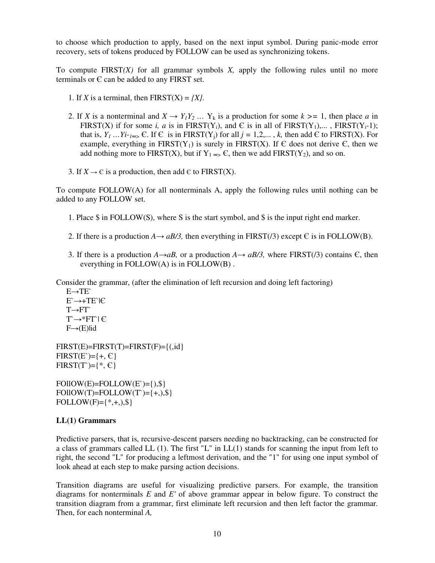to choose which production to apply, based on the next input symbol. During panic-mode error recovery, sets of tokens produced by FOLLOW can be used as synchronizing tokens.

To compute FIRST*(X)* for all grammar symbols *X,* apply the following rules until no more terminals or  $E$  can be added to any FIRST set.

- 1. If *X* is a terminal, then  $FIRST(X) = \{X\}$ .
- 2. If *X* is a nonterminal and  $X \to Y_I Y_2$  ...  $Y_k$  is a production for some  $k \geq 1$ , then place *a* in FIRST(X) if for some *i, a* is in FIRST(Y<sub>i</sub>), and C is in all of FIRST(Y<sub>1</sub>),..., FIRST(Y<sub>i</sub>-1); that is,  $Y_1 \dots Y_{i-j} \in \mathbb{C}$ . If  $\in$  is in FIRST(Y<sub>i</sub>) for all  $j = 1, 2, \dots, k$ , then add  $\in$  to FIRST(X). For example, everything in  $FIRST(Y_1)$  is surely in  $FIRST(X)$ . If  $\epsilon$  does not derive  $\epsilon$ , then we add nothing more to FIRST(X), but if  $Y_1 = S$ , then we add FIRST(Y<sub>2</sub>), and so on.
- 3. If  $X \to \mathbb{C}$  is a production, then add  $\mathbb{C}$  to FIRST(X).

To compute FOLLOW(A) for all nonterminals A, apply the following rules until nothing can be added to any FOLLOW set.

- 1. Place \$ in FOLLOW(S), where S is the start symbol, and \$ is the input right end marker.
- 2. If there is a production  $A \rightarrow aB/3$ , then everything in FIRST(/3) except  $\epsilon$  is in FOLLOW(B).
- 3. If there is a production  $A \rightarrow aB$ , or a production  $A \rightarrow aB/3$ , where FIRST(/3) contains  $\epsilon$ , then everything in FOLLOW(A) is in FOLLOW(B) .

Consider the grammar, (after the elimination of left recursion and doing left factoring)

 $E \rightarrow TE$  E`→+TE`|Є  $T\rightarrow FT$  $T \rightarrow * FT \mid C$  $F\rightarrow(E)$ |id

 $FIRST(E)=FIRST(T)=FIRST(F)=\{(id\}$  $FIRST(E)=+E, \in \}$  $FIRST(T)=\{*, \infty\}$ 

 $FOIIOW(E)=FOLLOW(E)=\{),\$  $FOIIOW(T)=FOLLOW(T)=+,$ ,\$}  $FOLLOW(F)=\{*,+,),\$ 

### **LL(1) Grammars**

Predictive parsers, that is, recursive-descent parsers needing no backtracking, can be constructed for a class of grammars called LL (1). The first "L" in LL(1) stands for scanning the input from left to right, the second "L" for producing a leftmost derivation, and the "1" for using one input symbol of look ahead at each step to make parsing action decisions.

Transition diagrams are useful for visualizing predictive parsers. For example, the transition diagrams for nonterminals *E* and *E'* of above grammar appear in below figure. To construct the transition diagram from a grammar, first eliminate left recursion and then left factor the grammar. Then, for each nonterminal *A,*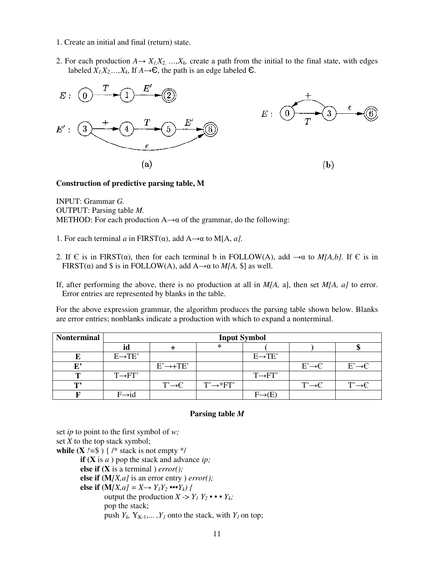- 1. Create an initial and final (return) state.
- 2. For each production  $A \rightarrow X_I X_2, \ldots, X_k$  create a path from the initial to the final state, with edges labeled  $X_1, X_2, \ldots, X_k$ , If  $A \rightarrow \mathbb{C}$ , the path is an edge labeled  $\mathbb{C}$ .



#### **Construction of predictive parsing table, M**

INPUT: Grammar *G.*  OUTPUT: Parsing table *M.*  METHOD: For each production  $A \rightarrow \alpha$  of the grammar, do the following:

- 1. For each terminal *a* in FIRST(α), add A→α to M[A, *a].*
- 2. If  $\epsilon$  is in FIRST( $\alpha$ ), then for each terminal b in FOLLOW(A), add  $\rightarrow \alpha$  to *M[A,b]*. If  $\epsilon$  is in FIRST( $\alpha$ ) and \$ is in FOLLOW(A), add A $\rightarrow \alpha$  to *M[A,* \$] as well.
- If, after performing the above, there is no production at all in *M[A,* a], then set *M[A, a]* to error. Error entries are represented by blanks in the table.

For the above expression grammar, the algorithm produces the parsing table shown below. Blanks are error entries; nonblanks indicate a production with which to expand a nonterminal.

| <b>Nonterminal</b> | <b>Input Symbol</b> |                       |                        |                     |                    |                    |  |  |  |  |  |
|--------------------|---------------------|-----------------------|------------------------|---------------------|--------------------|--------------------|--|--|--|--|--|
|                    | ıd                  |                       | ∗                      |                     |                    |                    |  |  |  |  |  |
|                    | $E \rightarrow TE'$ |                       |                        | $E \rightarrow TE'$ |                    |                    |  |  |  |  |  |
| E,                 |                     | $E' \rightarrow +TE'$ |                        |                     | $E' \rightarrow C$ | $E' \rightarrow C$ |  |  |  |  |  |
|                    | $T\rightarrow FT'$  |                       |                        | $T\rightarrow FT'$  |                    |                    |  |  |  |  |  |
| т,                 |                     | $T' \rightarrow C$    | $T' \rightarrow * FT'$ |                     | $T' \rightarrow C$ |                    |  |  |  |  |  |
|                    | $F \rightarrow id$  |                       |                        |                     |                    |                    |  |  |  |  |  |

#### **Parsing table** *M*

set *ip* to point to the first symbol of *w;*  set *X* to the top stack symbol; **while (X**  $!=$  \$) { /\* stack is not empty \*/ **if (X** is *a* ) pop the stack and advance *ip;*  **else if (X** is a terminal ) *error();*  **else if (M***[X,a]* is an error entry ) *error();*  **else if**  $(M/X, a) = X \rightarrow Y_1 Y_2$  •••  $Y_k$ *)* { output the production  $X \rightarrow Y_1 Y_2 \bullet \bullet \bullet Y_k$ ; pop the stack; push  $Y_k$ ,  $Y_{K-1}, \ldots, Y_I$  onto the stack, with  $Y_I$  on top;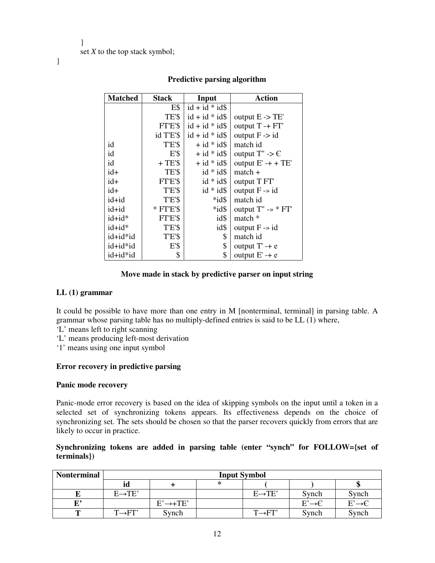}

| <b>Matched</b> | <b>Stack</b> | Input             | <b>Action</b>                       |
|----------------|--------------|-------------------|-------------------------------------|
|                | E\$          | $id + id * id$    |                                     |
|                | TE'\$        | $id + id * id$    | output $E \rightarrow TE'$          |
|                | FT'E'\$      | $id + id * id$    | output $T - + FT'$                  |
|                | id T'E'\$    | $id + id * id$    | output $F \rightarrow id$           |
| id             | T'E'\$       | $+ id * id$       | match id                            |
| id             | E'S          | $+$ id * id\$     | output $T'' \rightarrow \mathbb{C}$ |
| id             | $+TE'S$      | $+$ id $*$ id $\$ | output $E' - + + TE'$               |
| $id+$          | TE'S         | $id * id$         | $match +$                           |
| $id+$          | FT'E'S       | $id * id$         | output T FT                         |
| $id+$          | TE'S         | $id * id$         | output $F \rightarrow id$           |
| id+id          | T'E'\$       | $*id\$            | match id                            |
| id+id          | $*$ FT'E'\$  | $*id\$            | output $T'' \rightarrow * FT'$      |
| id+id*         | FT'E'\$      | id\$              | match *                             |
| $id+id*$       | T'E'\$       | id\$              | output $F \rightarrow id$           |
| id+id*id       | T'E'\$       | \$                | match id                            |
| id+id*id       | E'S          | \$                | output $T' - + e$                   |
| id+id*id       | \$           | \$                | output $E'$ -+ $e$                  |

# **Predictive parsing algorithm**

### **Move made in stack by predictive parser on input string**

#### **LL (1) grammar**

It could be possible to have more than one entry in M [nonterminal, terminal] in parsing table. A grammar whose parsing table has no multiply-defined entries is said to be LL (1) where,

- 'L' means left to right scanning
- 'L' means producing left-most derivation
- '1' means using one input symbol

### **Error recovery in predictive parsing**

#### **Panic mode recovery**

Panic-mode error recovery is based on the idea of skipping symbols on the input until a token in a selected set of synchronizing tokens appears. Its effectiveness depends on the choice of synchronizing set. The sets should be chosen so that the parser recovers quickly from errors that are likely to occur in practice.

### **Synchronizing tokens are added in parsing table (enter "synch" for FOLLOW={set of terminals})**

| <b>Nonterminal</b> | <b>Input Symbol</b> |                       |   |                     |                    |                    |  |  |  |
|--------------------|---------------------|-----------------------|---|---------------------|--------------------|--------------------|--|--|--|
|                    | id                  |                       | ∗ |                     |                    |                    |  |  |  |
|                    | $E \rightarrow TE'$ |                       |   | $E \rightarrow TE'$ | Synch              | Synch              |  |  |  |
| г,                 |                     | $E' \rightarrow +TE'$ |   |                     | $E' \rightarrow C$ | $E' \rightarrow C$ |  |  |  |
|                    | $T\rightarrow F T'$ | Synch                 |   | $T\rightarrow F T'$ | Synch              | Synch              |  |  |  |